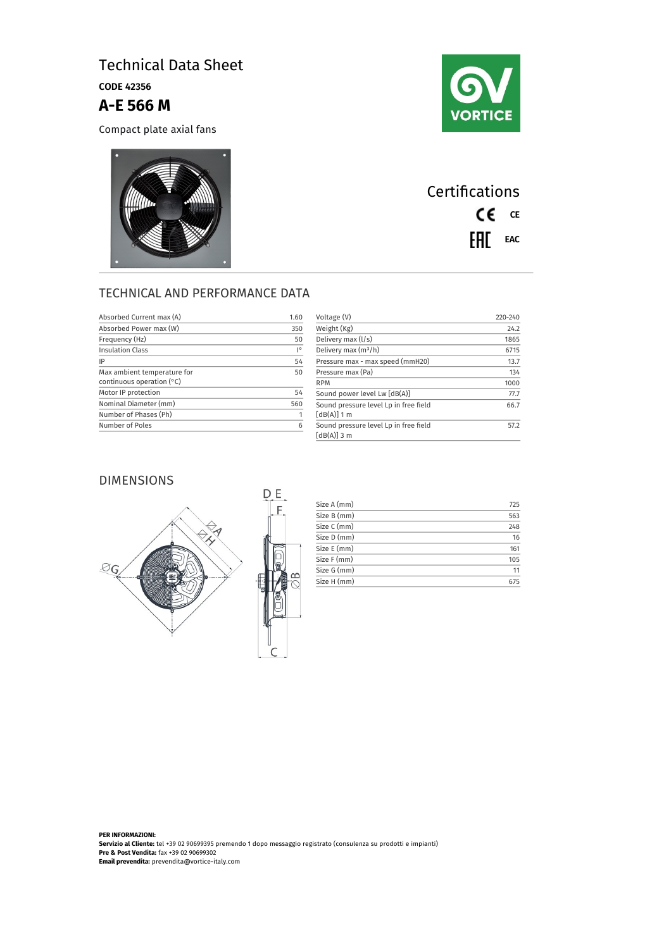# Technical Data Sheet

CODE 42356

### **A-E 566 M**

Compact plate axial fans





## **Certifications** CE CE EAL EAC

### TECHNICAL AND PERFORMANCE DATA

| Absorbed Current max (A)    | 1.60 | Voltage (V)                                            | $220 - 240$ |
|-----------------------------|------|--------------------------------------------------------|-------------|
| Absorbed Power max (W)      | 350  | Weight (Kg)                                            | 24.2        |
| Frequency (Hz)              | 50   | Delivery max (I/s)                                     | 1865        |
| <b>Insulation Class</b>     | I۰   | Delivery max $(m^3/h)$                                 | 6715        |
| IP                          | 54   | Pressure max - max speed (mmH20)                       | 13.7        |
| Max ambient temperature for | 50   | Pressure max (Pa)                                      | 134         |
| continuous operation $(°C)$ |      | <b>RPM</b>                                             | 1000        |
| Motor IP protection         | 54   | Sound power level Lw [dB(A)]                           | 77.7        |
| Nominal Diameter (mm)       | 560  | Sound pressure level Lp in free field                  | 66.7        |
| Number of Phases (Ph)       |      | $[dB(A)]$ 1 m                                          |             |
| Number of Poles             | 6    | Sound pressure level Lp in free field<br>$[dB(A)]$ 3 m | 57.2        |

### DIMENSIONS



| Size A (mm) | 725 |
|-------------|-----|
| Size B (mm) | 563 |
| Size C (mm) | 248 |
| Size D (mm) | 16  |
| Size E (mm) | 161 |
| Size F (mm) | 105 |
| Size G (mm) | 11  |
| Size H (mm) | 675 |

**PER INFORMAZIONI: Servizio al Cliente:** tel +39 02 90699395 premendo 1 dopo messaggio registrato (consulenza su prodotti e impianti) **Pre & Post Vendita:** fax +39 02 90699302 **Email prevendita:** prevendita@vortice-italy.com